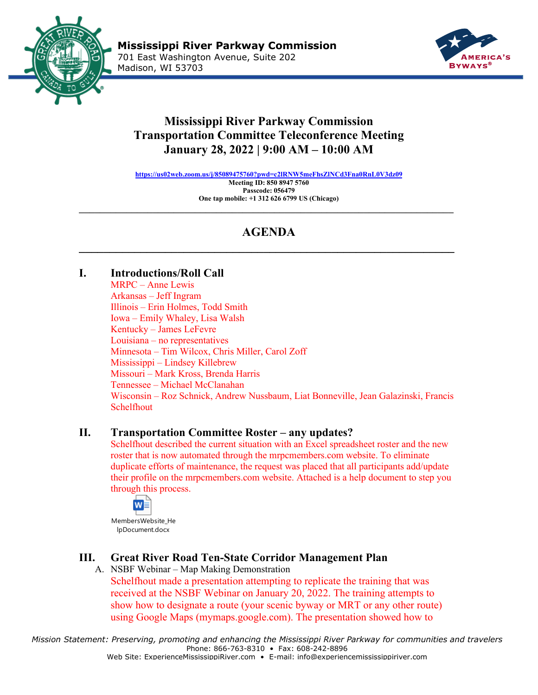



# **Mississippi River Parkway Commission Transportation Committee Teleconference Meeting January 28, 2022 | 9:00 AM – 10:00 AM**

**<https://us02web.zoom.us/j/85089475760?pwd=c2lRNW5meFhsZlNCd3Fna0RnL0V3dz09> Meeting ID: 850 8947 5760 Passcode: 056479 One tap mobile: +1 312 626 6799 US (Chicago)**

# **AGENDA \_\_\_\_\_\_\_\_\_\_\_\_\_\_\_\_\_\_\_\_\_\_\_\_\_\_\_\_\_\_\_\_\_\_\_\_\_\_\_\_\_\_\_\_\_\_\_\_\_\_\_\_\_\_\_\_\_\_\_\_\_**

 $\_$ 

## **I. Introductions/Roll Call**

MRPC – Anne Lewis Arkansas – Jeff Ingram Illinois – Erin Holmes, Todd Smith Iowa – Emily Whaley, Lisa Walsh Kentucky – James LeFevre Louisiana – no representatives Minnesota – Tim Wilcox, Chris Miller, Carol Zoff Mississippi – Lindsey Killebrew Missouri – Mark Kross, Brenda Harris Tennessee – Michael McClanahan Wisconsin – Roz Schnick, Andrew Nussbaum, Liat Bonneville, Jean Galazinski, Francis Schelfhout

### **II. Transportation Committee Roster – any updates?**

Schelfhout described the current situation with an Excel spreadsheet roster and the new roster that is now automated through the mrpcmembers.com website. To eliminate duplicate efforts of maintenance, the request was placed that all participants add/update their profile on the mrpcmembers.com website. Attached is a help document to step you through this process.



MembersWebsite\_He lpDocument.docx

## **III. Great River Road Ten-State Corridor Management Plan**

A. NSBF Webinar – Map Making Demonstration Schelfhout made a presentation attempting to replicate the training that was received at the NSBF Webinar on January 20, 2022. The training attempts to show how to designate a route (your scenic byway or MRT or any other route) using Google Maps (mymaps.google.com). The presentation showed how to

*Mission Statement: Preserving, promoting and enhancing the Mississippi River Parkway for communities and travelers* Phone: 866-763-8310 • Fax: 608-242-8896 Web Site: ExperienceMississippiRiver.com • E-mail: info@experiencemississippiriver.com